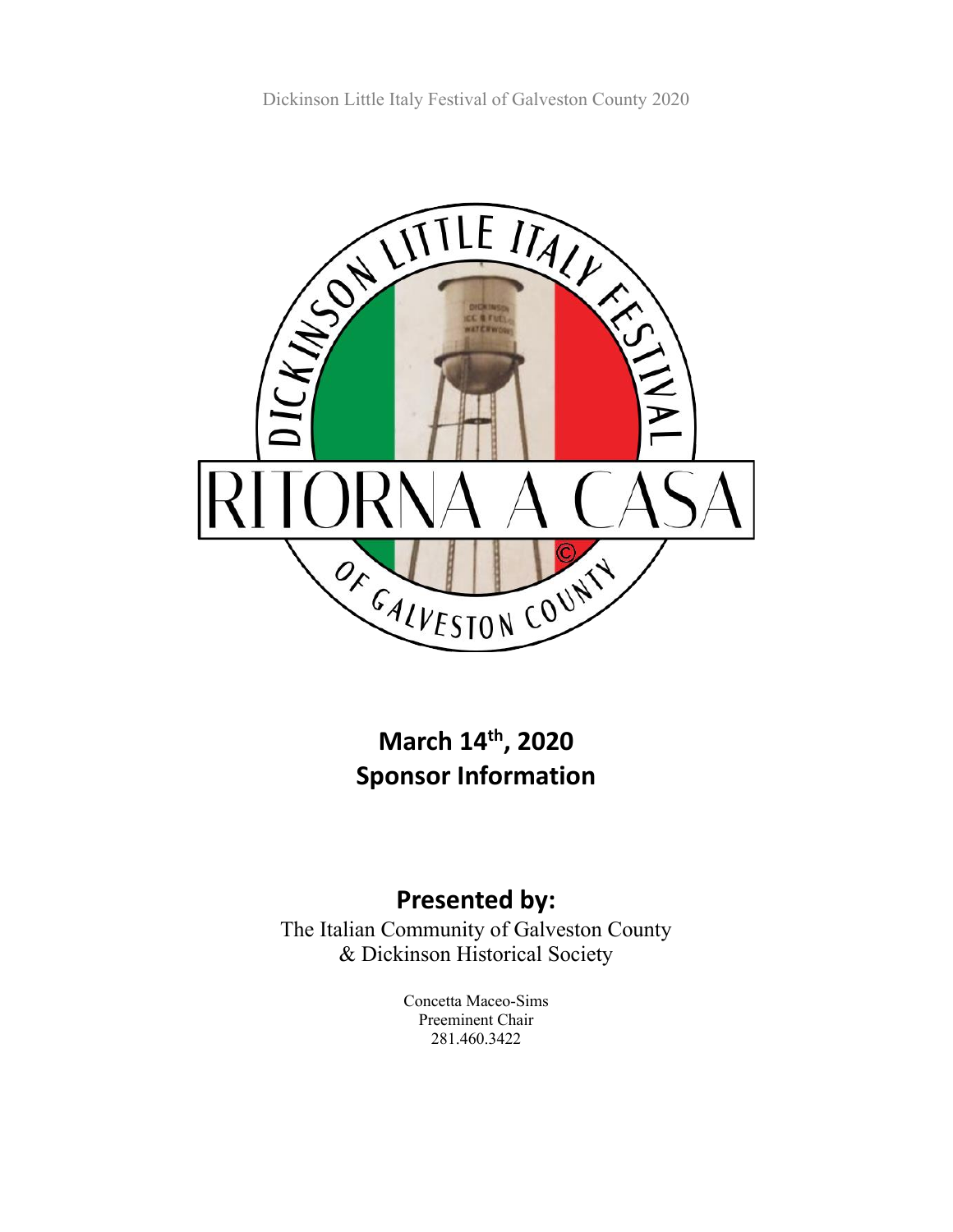Dickinson Little Italy Festival of Galveston County 2020



**March 14th, 2020 Sponsor Information**

## **Presented by:**

The Italian Community of Galveston County & Dickinson Historical Society

> Concetta Maceo-Sims Preeminent Chair 281.460.3422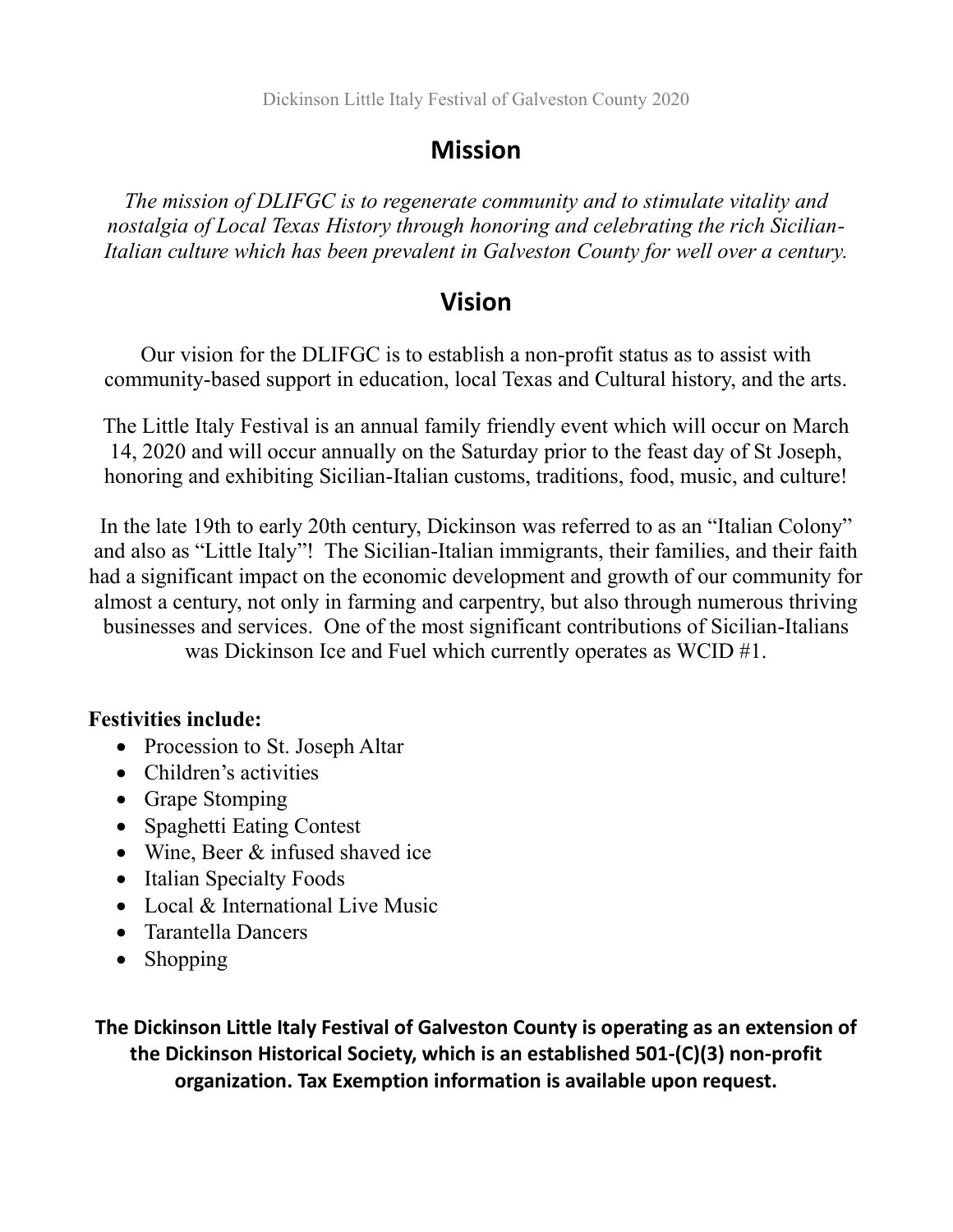Dickinson Little Italy Festival of Galveston County 2020

### **Mission**

*The mission of DLIFGC is to regenerate community and to stimulate vitality and nostalgia of Local Texas History through honoring and celebrating the rich Sicilian-Italian culture which has been prevalent in Galveston County for well over a century.*

### **Vision**

Our vision for the DLIFGC is to establish a non-profit status as to assist with community-based support in education, local Texas and Cultural history, and the arts.

The Little Italy Festival is an annual family friendly event which will occur on March 14, 2020 and will occur annually on the Saturday prior to the feast day of St Joseph, honoring and exhibiting Sicilian-Italian customs, traditions, food, music, and culture!

In the late 19th to early 20th century, Dickinson was referred to as an "Italian Colony" and also as "Little Italy"! The Sicilian-Italian immigrants, their families, and their faith had a significant impact on the economic development and growth of our community for almost a century, not only in farming and carpentry, but also through numerous thriving businesses and services. One of the most significant contributions of Sicilian-Italians was Dickinson Ice and Fuel which currently operates as WCID #1.

#### **Festivities include:**

- Procession to St. Joseph Altar
- Children's activities
- Grape Stomping
- Spaghetti Eating Contest
- Wine, Beer & infused shaved ice
- Italian Specialty Foods
- Local & International Live Music
- Tarantella Dancers
- Shopping

**The Dickinson Little Italy Festival of Galveston County is operating as an extension of the Dickinson Historical Society, which is an established 501-(C)(3) non-profit organization. Tax Exemption information is available upon request.**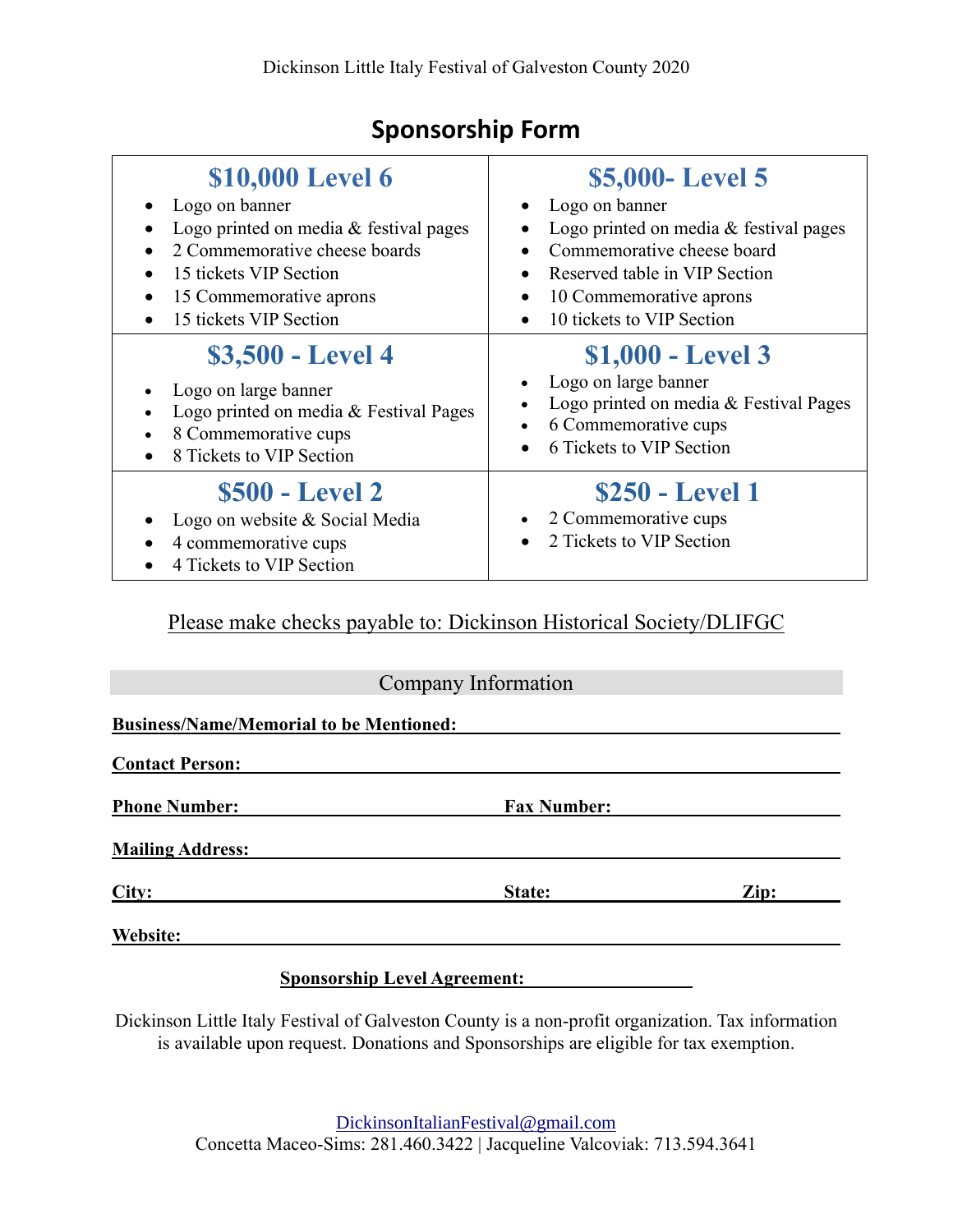## **Sponsorship Form**

| \$10,000 Level 6<br>Logo on banner<br>Logo printed on media $&$ festival pages<br>2 Commemorative cheese boards<br>15 tickets VIP Section<br>$\bullet$<br>15 Commemorative aprons<br>15 tickets VIP Section | \$5,000 - Level 5<br>• Logo on banner<br>Logo printed on media & festival pages<br>Commemorative cheese board<br>Reserved table in VIP Section<br>10 Commemorative aprons<br>10 tickets to VIP Section |
|-------------------------------------------------------------------------------------------------------------------------------------------------------------------------------------------------------------|--------------------------------------------------------------------------------------------------------------------------------------------------------------------------------------------------------|
| \$3,500 - Level 4<br>Logo on large banner<br>Logo printed on media & Festival Pages<br>8 Commemorative cups<br>8 Tickets to VIP Section                                                                     | $$1,000$ - Level 3<br>Logo on large banner<br>Logo printed on media & Festival Pages<br>6 Commemorative cups<br>6 Tickets to VIP Section                                                               |
| <b>\$500 - Level 2</b><br>Logo on website & Social Media<br>4 commemorative cups<br>4 Tickets to VIP Section                                                                                                | <b>\$250 - Level 1</b><br>2 Commemorative cups<br>2 Tickets to VIP Section                                                                                                                             |

Please make checks payable to: Dickinson Historical Society/DLIFGC

|                                                | Company Information |      |
|------------------------------------------------|---------------------|------|
| <b>Business/Name/Memorial to be Mentioned:</b> |                     |      |
| <b>Contact Person:</b>                         |                     |      |
| <b>Phone Number:</b>                           | <b>Fax Number:</b>  |      |
| <b>Mailing Address:</b>                        |                     |      |
| City:                                          | State:              | Zip: |
| Website:                                       |                     |      |

**Sponsorship Level Agreement: \_** 

Dickinson Little Italy Festival of Galveston County is a non-profit organization. Tax information is available upon request. Donations and Sponsorships are eligible for tax exemption.

> [DickinsonItalianFestival@gmail.com](mailto:DickinsonItalianFestival@gmail.com) Concetta Maceo-Sims: 281.460.3422 | Jacqueline Valcoviak: 713.594.3641